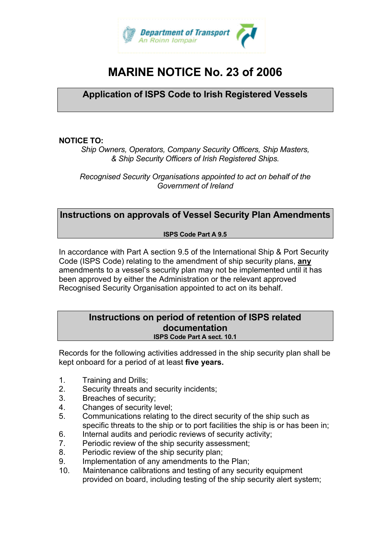

# **MARINE NOTICE No. 23 of 2006**

**Application of ISPS Code to Irish Registered Vessels** 

### **NOTICE TO:**

*Ship Owners, Operators, Company Security Officers, Ship Masters, & Ship Security Officers of Irish Registered Ships.* 

*Recognised Security Organisations appointed to act on behalf of the Government of Ireland* 

## **Instructions on approvals of Vessel Security Plan Amendments**

#### **ISPS Code Part A 9.5**

In accordance with Part A section 9.5 of the International Ship & Port Security Code (ISPS Code) relating to the amendment of ship security plans, **any** amendments to a vessel's security plan may not be implemented until it has been approved by either the Administration or the relevant approved Recognised Security Organisation appointed to act on its behalf.

#### **Instructions on period of retention of ISPS related documentation ISPS Code Part A sect. 10.1**

Records for the following activities addressed in the ship security plan shall be kept onboard for a period of at least **five years.** 

- 1. Training and Drills;
- 2. Security threats and security incidents;
- 3. Breaches of security;
- 4. Changes of security level;
- 5. Communications relating to the direct security of the ship such as specific threats to the ship or to port facilities the ship is or has been in;
- 6. Internal audits and periodic reviews of security activity;
- 7. Periodic review of the ship security assessment;
- 8. Periodic review of the ship security plan;
- 9. Implementation of any amendments to the Plan;
- 10. Maintenance calibrations and testing of any security equipment provided on board, including testing of the ship security alert system;